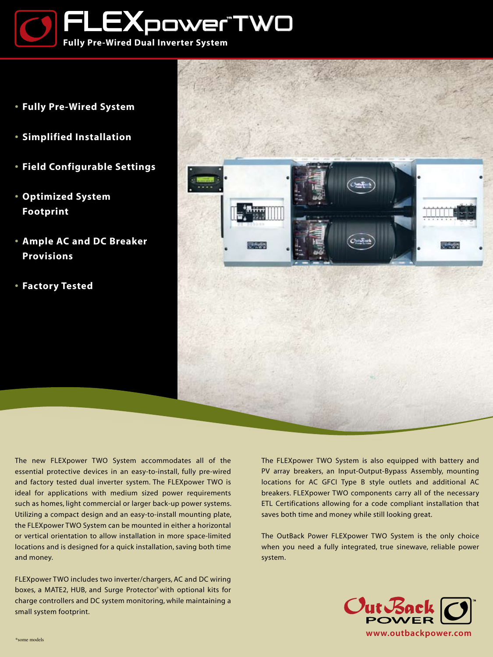

- **• Fully Pre-Wired System**
- **• Simplified Installation**
- **• Field Configurable Settings**
- **• Optimized System Footprint**
- **• Ample AC and DC Breaker Provisions**
- **• Factory Tested**



The new FLEXpower TWO System accommodates all of the essential protective devices in an easy-to-install, fully pre-wired and factory tested dual inverter system. The FLEXpower TWO is ideal for applications with medium sized power requirements such as homes, light commercial or larger back-up power systems. Utilizing a compact design and an easy-to-install mounting plate, the FLEXpower TWO System can be mounted in either a horizontal or vertical orientation to allow installation in more space-limited locations and is designed for a quick installation, saving both time and money.

FLEXpower TWO includes two inverter/chargers, AC and DC wiring boxes, a MATE2, HUB, and Surge Protector<sup>\*</sup> with optional kits for charge controllers and DC system monitoring, while maintaining a small system footprint.

The FLEXpower TWO System is also equipped with battery and PV array breakers, an Input-Output-Bypass Assembly, mounting locations for AC GFCI Type B style outlets and additional AC breakers. FLEXpower TWO components carry all of the necessary ETL Certifications allowing for a code compliant installation that saves both time and money while still looking great.

The OutBack Power FLEXpower TWO System is the only choice when you need a fully integrated, true sinewave, reliable power system.